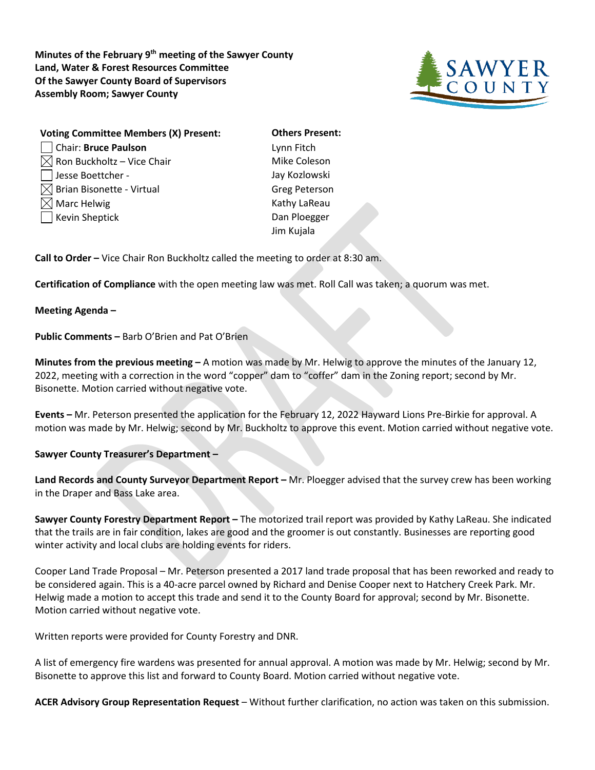**Minutes of the February 9th meeting of the Sawyer County Land, Water & Forest Resources Committee Of the Sawyer County Board of Supervisors Assembly Room; Sawyer County**



| <b>Voting Committee Members (X) Present:</b> | <b>Others Preser</b> |
|----------------------------------------------|----------------------|
| Chair: Bruce Paulson                         | Lynn Fitch           |
| $\boxtimes$ Ron Buckholtz – Vice Chair       | Mike Coleson         |
| Jesse Boettcher -                            | Jay Kozlowski        |
| $\boxtimes$ Brian Bisonette - Virtual        | <b>Greg Peterson</b> |
| $\boxtimes$ Marc Helwig                      | Kathy LaReau         |
| □ Kevin Sheptick                             | Dan Ploegger         |
|                                              | Jim Kujala           |
|                                              |                      |

**S** Present: Peterson Jiala

**Call to Order –** Vice Chair Ron Buckholtz called the meeting to order at 8:30 am.

**Certification of Compliance** with the open meeting law was met. Roll Call was taken; a quorum was met.

**Meeting Agenda –**

**Public Comments –** Barb O'Brien and Pat O'Brien

**Minutes from the previous meeting –** A motion was made by Mr. Helwig to approve the minutes of the January 12, 2022, meeting with a correction in the word "copper" dam to "coffer" dam in the Zoning report; second by Mr. Bisonette. Motion carried without negative vote.

**Events –** Mr. Peterson presented the application for the February 12, 2022 Hayward Lions Pre-Birkie for approval. A motion was made by Mr. Helwig; second by Mr. Buckholtz to approve this event. Motion carried without negative vote.

**Sawyer County Treasurer's Department –**

**Land Records and County Surveyor Department Report –** Mr. Ploegger advised that the survey crew has been working in the Draper and Bass Lake area.

**Sawyer County Forestry Department Report –** The motorized trail report was provided by Kathy LaReau. She indicated that the trails are in fair condition, lakes are good and the groomer is out constantly. Businesses are reporting good winter activity and local clubs are holding events for riders.

Cooper Land Trade Proposal – Mr. Peterson presented a 2017 land trade proposal that has been reworked and ready to be considered again. This is a 40-acre parcel owned by Richard and Denise Cooper next to Hatchery Creek Park. Mr. Helwig made a motion to accept this trade and send it to the County Board for approval; second by Mr. Bisonette. Motion carried without negative vote.

Written reports were provided for County Forestry and DNR.

A list of emergency fire wardens was presented for annual approval. A motion was made by Mr. Helwig; second by Mr. Bisonette to approve this list and forward to County Board. Motion carried without negative vote.

**ACER Advisory Group Representation Request** – Without further clarification, no action was taken on this submission.